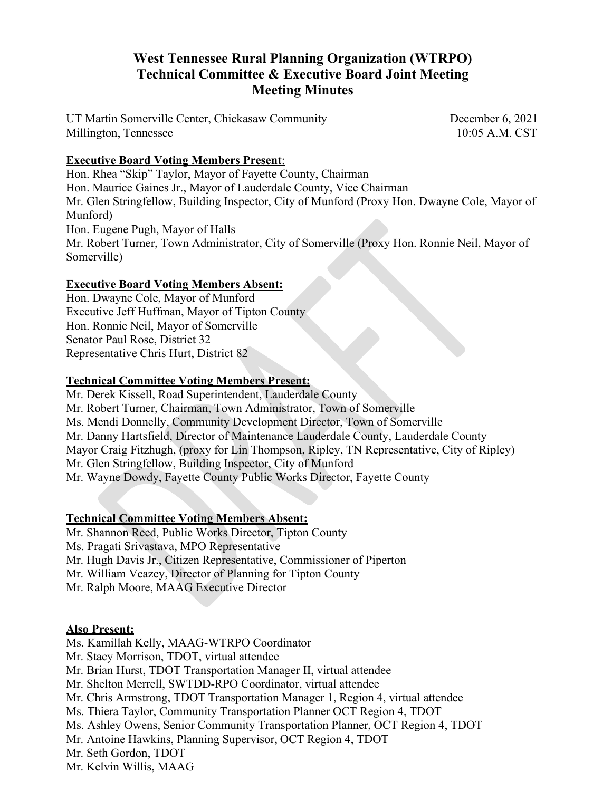# **West Tennessee Rural Planning Organization (WTRPO) Technical Committee & Executive Board Joint Meeting Meeting Minutes**

UT Martin Somerville Center, Chickasaw Community December 6, 2021 Millington, Tennessee 10:05 A.M. CST

## **Executive Board Voting Members Present**:

Hon. Rhea "Skip" Taylor, Mayor of Fayette County, Chairman Hon. Maurice Gaines Jr., Mayor of Lauderdale County, Vice Chairman Mr. Glen Stringfellow, Building Inspector, City of Munford (Proxy Hon. Dwayne Cole, Mayor of Munford) Hon. Eugene Pugh, Mayor of Halls Mr. Robert Turner, Town Administrator, City of Somerville (Proxy Hon. Ronnie Neil, Mayor of Somerville)

## **Executive Board Voting Members Absent:**

Hon. Dwayne Cole, Mayor of Munford Executive Jeff Huffman, Mayor of Tipton County Hon. Ronnie Neil, Mayor of Somerville Senator Paul Rose, District 32 Representative Chris Hurt, District 82

## **Technical Committee Voting Members Present:**

Mr. Derek Kissell, Road Superintendent, Lauderdale County Mr. Robert Turner, Chairman, Town Administrator, Town of Somerville Ms. Mendi Donnelly, Community Development Director, Town of Somerville Mr. Danny Hartsfield, Director of Maintenance Lauderdale County, Lauderdale County Mayor Craig Fitzhugh, (proxy for Lin Thompson, Ripley, TN Representative, City of Ripley) Mr. Glen Stringfellow, Building Inspector, City of Munford Mr. Wayne Dowdy, Fayette County Public Works Director, Fayette County

## **Technical Committee Voting Members Absent:**

Mr. Shannon Reed, Public Works Director, Tipton County

Ms. Pragati Srivastava, MPO Representative

Mr. Hugh Davis Jr., Citizen Representative, Commissioner of Piperton

Mr. William Veazey, Director of Planning for Tipton County

Mr. Ralph Moore, MAAG Executive Director

#### **Also Present:**

Ms. Kamillah Kelly, MAAG-WTRPO Coordinator Mr. Stacy Morrison, TDOT, virtual attendee Mr. Brian Hurst, TDOT Transportation Manager II, virtual attendee Mr. Shelton Merrell, SWTDD-RPO Coordinator, virtual attendee Mr. Chris Armstrong, TDOT Transportation Manager 1, Region 4, virtual attendee Ms. Thiera Taylor, Community Transportation Planner OCT Region 4, TDOT Ms. Ashley Owens, Senior Community Transportation Planner, OCT Region 4, TDOT Mr. Antoine Hawkins, Planning Supervisor, OCT Region 4, TDOT Mr. Seth Gordon, TDOT Mr. Kelvin Willis, MAAG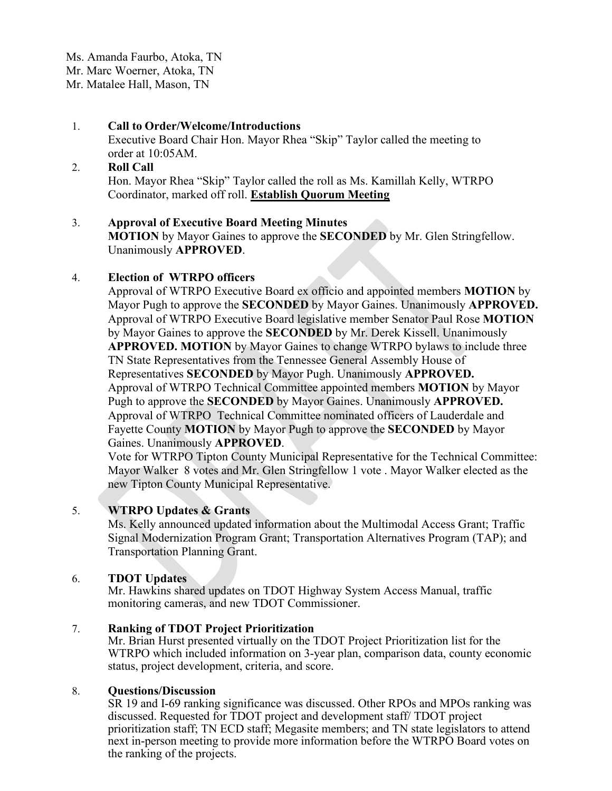Ms. Amanda Faurbo, Atoka, TN Mr. Marc Woerner, Atoka, TN Mr. Matalee Hall, Mason, TN

## 1. **Call to Order/Welcome/Introductions**

Executive Board Chair Hon. Mayor Rhea "Skip" Taylor called the meeting to order at 10:05AM.

#### 2. **Roll Call**

Hon. Mayor Rhea "Skip" Taylor called the roll as Ms. Kamillah Kelly, WTRPO Coordinator, marked off roll. **Establish Quorum Meeting**

## 3. **Approval of Executive Board Meeting Minutes**

**MOTION** by Mayor Gaines to approve the **SECONDED** by Mr. Glen Stringfellow. Unanimously **APPROVED**.

## 4. **Election of WTRPO officers**

Approval of WTRPO Executive Board ex officio and appointed members **MOTION** by Mayor Pugh to approve the **SECONDED** by Mayor Gaines. Unanimously **APPROVED.** Approval of WTRPO Executive Board legislative member Senator Paul Rose **MOTION**  by Mayor Gaines to approve the **SECONDED** by Mr. Derek Kissell. Unanimously **APPROVED. MOTION** by Mayor Gaines to change WTRPO bylaws to include three TN State Representatives from the Tennessee General Assembly House of Representatives **SECONDED** by Mayor Pugh. Unanimously **APPROVED.** Approval of WTRPO Technical Committee appointed members **MOTION** by Mayor Pugh to approve the **SECONDED** by Mayor Gaines. Unanimously **APPROVED.** Approval of WTRPO Technical Committee nominated officers of Lauderdale and Fayette County **MOTION** by Mayor Pugh to approve the **SECONDED** by Mayor Gaines. Unanimously **APPROVED**.

Vote for WTRPO Tipton County Municipal Representative for the Technical Committee: Mayor Walker 8 votes and Mr. Glen Stringfellow 1 vote . Mayor Walker elected as the new Tipton County Municipal Representative.

## 5. **WTRPO Updates & Grants**

Ms. Kelly announced updated information about the Multimodal Access Grant; Traffic Signal Modernization Program Grant; Transportation Alternatives Program (TAP); and Transportation Planning Grant.

## 6. **TDOT Updates**

Mr. Hawkins shared updates on TDOT Highway System Access Manual, traffic monitoring cameras, and new TDOT Commissioner.

## 7. **Ranking of TDOT Project Prioritization**

Mr. Brian Hurst presented virtually on the TDOT Project Prioritization list for the WTRPO which included information on 3-year plan, comparison data, county economic status, project development, criteria, and score.

#### 8. **Questions/Discussion**

SR 19 and I-69 ranking significance was discussed. Other RPOs and MPOs ranking was discussed. Requested for TDOT project and development staff/ TDOT project prioritization staff; TN ECD staff; Megasite members; and TN state legislators to attend next in-person meeting to provide more information before the WTRPO Board votes on the ranking of the projects.